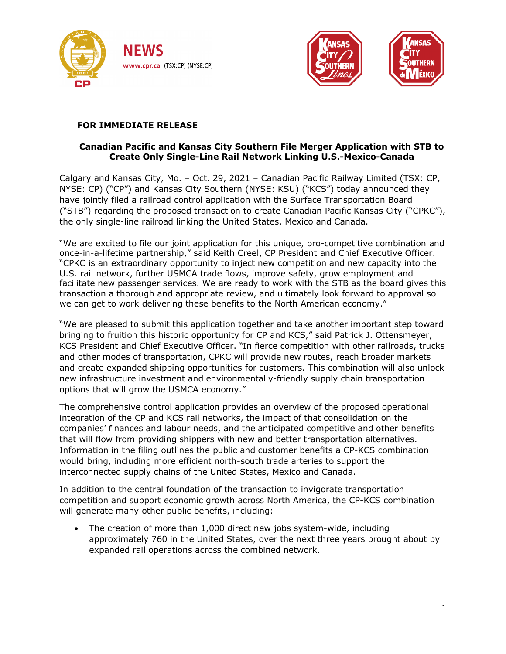



# **FOR IMMEDIATE RELEASE**

#### **Canadian Pacific and Kansas City Southern File Merger Application with STB to Create Only Single-Line Rail Network Linking U.S.-Mexico-Canada**

Calgary and Kansas City, Mo. – Oct. 29, 2021 – Canadian Pacific Railway Limited (TSX: CP, NYSE: CP) ("CP") and Kansas City Southern (NYSE: KSU) ("KCS") today announced they have jointly filed a railroad control application with the Surface Transportation Board ("STB") regarding the proposed transaction to create Canadian Pacific Kansas City ("CPKC"), the only single-line railroad linking the United States, Mexico and Canada.

"We are excited to file our joint application for this unique, pro-competitive combination and once-in-a-lifetime partnership," said Keith Creel, CP President and Chief Executive Officer. "CPKC is an extraordinary opportunity to inject new competition and new capacity into the U.S. rail network, further USMCA trade flows, improve safety, grow employment and facilitate new passenger services. We are ready to work with the STB as the board gives this transaction a thorough and appropriate review, and ultimately look forward to approval so we can get to work delivering these benefits to the North American economy."

"We are pleased to submit this application together and take another important step toward bringing to fruition this historic opportunity for CP and KCS," said Patrick J. Ottensmeyer, KCS President and Chief Executive Officer. "In fierce competition with other railroads, trucks and other modes of transportation, CPKC will provide new routes, reach broader markets and create expanded shipping opportunities for customers. This combination will also unlock new infrastructure investment and environmentally-friendly supply chain transportation options that will grow the USMCA economy."

The comprehensive control application provides an overview of the proposed operational integration of the CP and KCS rail networks, the impact of that consolidation on the companies' finances and labour needs, and the anticipated competitive and other benefits that will flow from providing shippers with new and better transportation alternatives. Information in the filing outlines the public and customer benefits a CP-KCS combination would bring, including more efficient north-south trade arteries to support the interconnected supply chains of the United States, Mexico and Canada.

In addition to the central foundation of the transaction to invigorate transportation competition and support economic growth across North America, the CP-KCS combination will generate many other public benefits, including:

• The creation of more than 1,000 direct new jobs system-wide, including approximately 760 in the United States, over the next three years brought about by expanded rail operations across the combined network.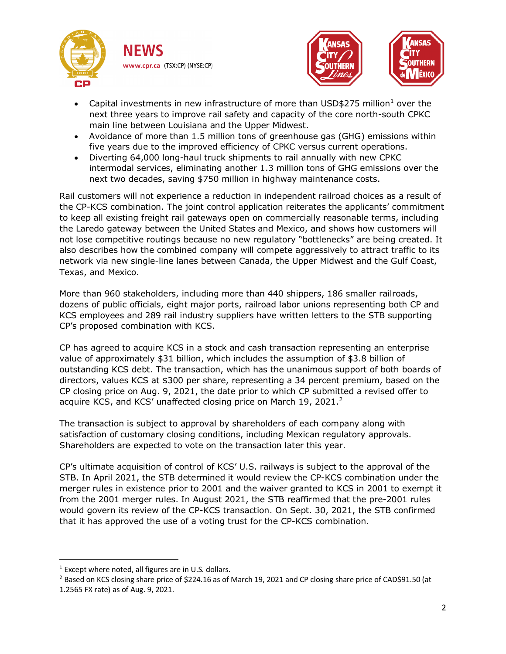



- Capital investments in new infrastructure of more than USD\$275 million<sup>[1](#page-1-0)</sup> over the next three years to improve rail safety and capacity of the core north-south CPKC main line between Louisiana and the Upper Midwest.
- Avoidance of more than 1.5 million tons of greenhouse gas (GHG) emissions within five years due to the improved efficiency of CPKC versus current operations.
- Diverting 64,000 long-haul truck shipments to rail annually with new CPKC intermodal services, eliminating another 1.3 million tons of GHG emissions over the next two decades, saving \$750 million in highway maintenance costs.

Rail customers will not experience a reduction in independent railroad choices as a result of the CP-KCS combination. The joint control application reiterates the applicants' commitment to keep all existing freight rail gateways open on commercially reasonable terms, including the Laredo gateway between the United States and Mexico, and shows how customers will not lose competitive routings because no new regulatory "bottlenecks" are being created. It also describes how the combined company will compete aggressively to attract traffic to its network via new single-line lanes between Canada, the Upper Midwest and the Gulf Coast, Texas, and Mexico.

More than 960 stakeholders, including more than 440 shippers, 186 smaller railroads, dozens of public officials, eight major ports, railroad labor unions representing both CP and KCS employees and 289 rail industry suppliers have written letters to the STB supporting CP's proposed combination with KCS.

CP has agreed to acquire KCS in a stock and cash transaction representing an enterprise value of approximately \$31 billion, which includes the assumption of \$3.8 billion of outstanding KCS debt. The transaction, which has the unanimous support of both boards of directors, values KCS at \$300 per share, representing a 34 percent premium, based on the CP closing price on Aug. 9, 2021, the date prior to which CP submitted a revised offer to acquire KCS, and KCS' unaffected closing price on March 19, [2](#page-1-1)021.<sup>2</sup>

The transaction is subject to approval by shareholders of each company along with satisfaction of customary closing conditions, including Mexican regulatory approvals. Shareholders are expected to vote on the transaction later this year.

CP's ultimate acquisition of control of KCS' U.S. railways is subject to the approval of the STB. In April 2021, the STB determined it would review the CP-KCS combination under the merger rules in existence prior to 2001 and the waiver granted to KCS in 2001 to exempt it from the 2001 merger rules. In August 2021, the STB reaffirmed that the pre-2001 rules would govern its review of the CP-KCS transaction. On Sept. 30, 2021, the STB confirmed that it has approved the use of a voting trust for the CP-KCS combination.

<span id="page-1-0"></span> $1$  Except where noted, all figures are in U.S. dollars.

<span id="page-1-1"></span><sup>2</sup> Based on KCS closing share price of \$224.16 as of March 19, 2021 and CP closing share price of CAD\$91.50 (at 1.2565 FX rate) as of Aug. 9, 2021.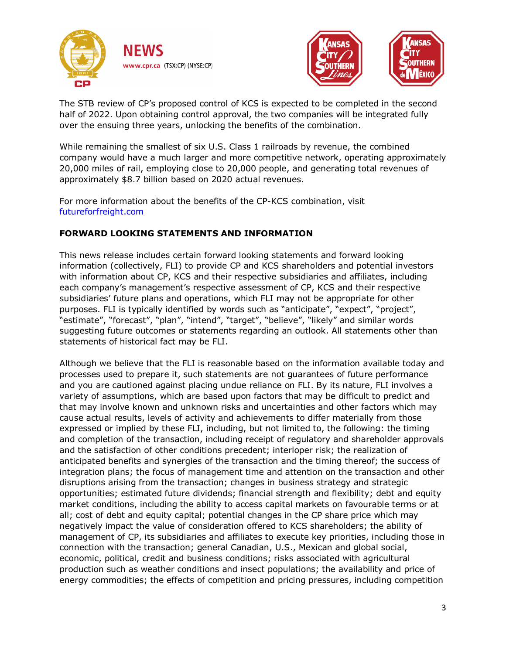



The STB review of CP's proposed control of KCS is expected to be completed in the second half of 2022. Upon obtaining control approval, the two companies will be integrated fully over the ensuing three years, unlocking the benefits of the combination.

While remaining the smallest of six U.S. Class 1 railroads by revenue, the combined company would have a much larger and more competitive network, operating approximately 20,000 miles of rail, employing close to 20,000 people, and generating total revenues of approximately \$8.7 billion based on 2020 actual revenues.

For more information about the benefits of the CP-KCS combination, visit [futureforfreight.com](https://futureforfreight.com/)

### **FORWARD LOOKING STATEMENTS AND INFORMATION**

This news release includes certain forward looking statements and forward looking information (collectively, FLI) to provide CP and KCS shareholders and potential investors with information about CP, KCS and their respective subsidiaries and affiliates, including each company's management's respective assessment of CP, KCS and their respective subsidiaries' future plans and operations, which FLI may not be appropriate for other purposes. FLI is typically identified by words such as "anticipate", "expect", "project", "estimate", "forecast", "plan", "intend", "target", "believe", "likely" and similar words suggesting future outcomes or statements regarding an outlook. All statements other than statements of historical fact may be FLI.

Although we believe that the FLI is reasonable based on the information available today and processes used to prepare it, such statements are not guarantees of future performance and you are cautioned against placing undue reliance on FLI. By its nature, FLI involves a variety of assumptions, which are based upon factors that may be difficult to predict and that may involve known and unknown risks and uncertainties and other factors which may cause actual results, levels of activity and achievements to differ materially from those expressed or implied by these FLI, including, but not limited to, the following: the timing and completion of the transaction, including receipt of regulatory and shareholder approvals and the satisfaction of other conditions precedent; interloper risk; the realization of anticipated benefits and synergies of the transaction and the timing thereof; the success of integration plans; the focus of management time and attention on the transaction and other disruptions arising from the transaction; changes in business strategy and strategic opportunities; estimated future dividends; financial strength and flexibility; debt and equity market conditions, including the ability to access capital markets on favourable terms or at all; cost of debt and equity capital; potential changes in the CP share price which may negatively impact the value of consideration offered to KCS shareholders; the ability of management of CP, its subsidiaries and affiliates to execute key priorities, including those in connection with the transaction; general Canadian, U.S., Mexican and global social, economic, political, credit and business conditions; risks associated with agricultural production such as weather conditions and insect populations; the availability and price of energy commodities; the effects of competition and pricing pressures, including competition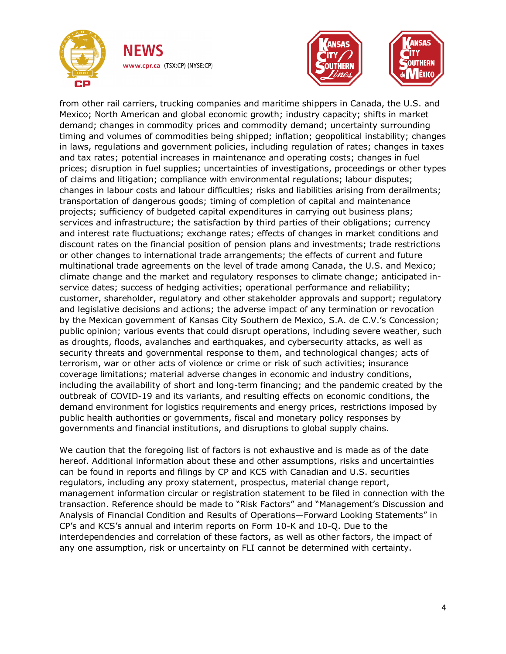







from other rail carriers, trucking companies and maritime shippers in Canada, the U.S. and Mexico; North American and global economic growth; industry capacity; shifts in market demand; changes in commodity prices and commodity demand; uncertainty surrounding timing and volumes of commodities being shipped; inflation; geopolitical instability; changes in laws, regulations and government policies, including regulation of rates; changes in taxes and tax rates; potential increases in maintenance and operating costs; changes in fuel prices; disruption in fuel supplies; uncertainties of investigations, proceedings or other types of claims and litigation; compliance with environmental regulations; labour disputes; changes in labour costs and labour difficulties; risks and liabilities arising from derailments; transportation of dangerous goods; timing of completion of capital and maintenance projects; sufficiency of budgeted capital expenditures in carrying out business plans; services and infrastructure; the satisfaction by third parties of their obligations; currency and interest rate fluctuations; exchange rates; effects of changes in market conditions and discount rates on the financial position of pension plans and investments; trade restrictions or other changes to international trade arrangements; the effects of current and future multinational trade agreements on the level of trade among Canada, the U.S. and Mexico; climate change and the market and regulatory responses to climate change; anticipated inservice dates; success of hedging activities; operational performance and reliability; customer, shareholder, regulatory and other stakeholder approvals and support; regulatory and legislative decisions and actions; the adverse impact of any termination or revocation by the Mexican government of Kansas City Southern de Mexico, S.A. de C.V.'s Concession; public opinion; various events that could disrupt operations, including severe weather, such as droughts, floods, avalanches and earthquakes, and cybersecurity attacks, as well as security threats and governmental response to them, and technological changes; acts of terrorism, war or other acts of violence or crime or risk of such activities; insurance coverage limitations; material adverse changes in economic and industry conditions, including the availability of short and long-term financing; and the pandemic created by the outbreak of COVID-19 and its variants, and resulting effects on economic conditions, the demand environment for logistics requirements and energy prices, restrictions imposed by public health authorities or governments, fiscal and monetary policy responses by governments and financial institutions, and disruptions to global supply chains.

We caution that the foregoing list of factors is not exhaustive and is made as of the date hereof. Additional information about these and other assumptions, risks and uncertainties can be found in reports and filings by CP and KCS with Canadian and U.S. securities regulators, including any proxy statement, prospectus, material change report, management information circular or registration statement to be filed in connection with the transaction. Reference should be made to "Risk Factors" and "Management's Discussion and Analysis of Financial Condition and Results of Operations—Forward Looking Statements" in CP's and KCS's annual and interim reports on Form 10-K and 10-Q. Due to the interdependencies and correlation of these factors, as well as other factors, the impact of any one assumption, risk or uncertainty on FLI cannot be determined with certainty.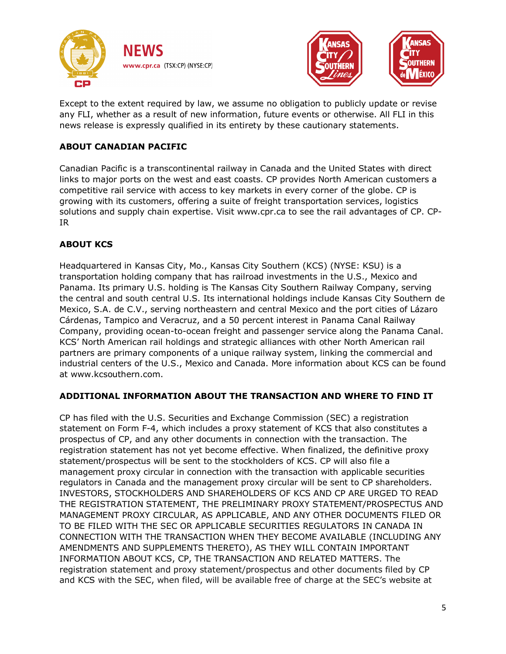



Except to the extent required by law, we assume no obligation to publicly update or revise any FLI, whether as a result of new information, future events or otherwise. All FLI in this news release is expressly qualified in its entirety by these cautionary statements.

# **ABOUT CANADIAN PACIFIC**

Canadian Pacific is a transcontinental railway in Canada and the United States with direct links to major ports on the west and east coasts. CP provides North American customers a competitive rail service with access to key markets in every corner of the globe. CP is growing with its customers, offering a suite of freight transportation services, logistics solutions and supply chain expertise. Visit www.cpr.ca to see the rail advantages of CP. CP-IR

### **ABOUT KCS**

Headquartered in Kansas City, Mo., Kansas City Southern (KCS) (NYSE: KSU) is a transportation holding company that has railroad investments in the U.S., Mexico and Panama. Its primary U.S. holding is The Kansas City Southern Railway Company, serving the central and south central U.S. Its international holdings include Kansas City Southern de Mexico, S.A. de C.V., serving northeastern and central Mexico and the port cities of Lázaro Cárdenas, Tampico and Veracruz, and a 50 percent interest in Panama Canal Railway Company, providing ocean-to-ocean freight and passenger service along the Panama Canal. KCS' North American rail holdings and strategic alliances with other North American rail partners are primary components of a unique railway system, linking the commercial and industrial centers of the U.S., Mexico and Canada. More information about KCS can be found at www.kcsouthern.com.

### **ADDITIONAL INFORMATION ABOUT THE TRANSACTION AND WHERE TO FIND IT**

CP has filed with the U.S. Securities and Exchange Commission (SEC) a registration statement on Form F-4, which includes a proxy statement of KCS that also constitutes a prospectus of CP, and any other documents in connection with the transaction. The registration statement has not yet become effective. When finalized, the definitive proxy statement/prospectus will be sent to the stockholders of KCS. CP will also file a management proxy circular in connection with the transaction with applicable securities regulators in Canada and the management proxy circular will be sent to CP shareholders. INVESTORS, STOCKHOLDERS AND SHAREHOLDERS OF KCS AND CP ARE URGED TO READ THE REGISTRATION STATEMENT, THE PRELIMINARY PROXY STATEMENT/PROSPECTUS AND MANAGEMENT PROXY CIRCULAR, AS APPLICABLE, AND ANY OTHER DOCUMENTS FILED OR TO BE FILED WITH THE SEC OR APPLICABLE SECURITIES REGULATORS IN CANADA IN CONNECTION WITH THE TRANSACTION WHEN THEY BECOME AVAILABLE (INCLUDING ANY AMENDMENTS AND SUPPLEMENTS THERETO), AS THEY WILL CONTAIN IMPORTANT INFORMATION ABOUT KCS, CP, THE TRANSACTION AND RELATED MATTERS. The registration statement and proxy statement/prospectus and other documents filed by CP and KCS with the SEC, when filed, will be available free of charge at the SEC's website at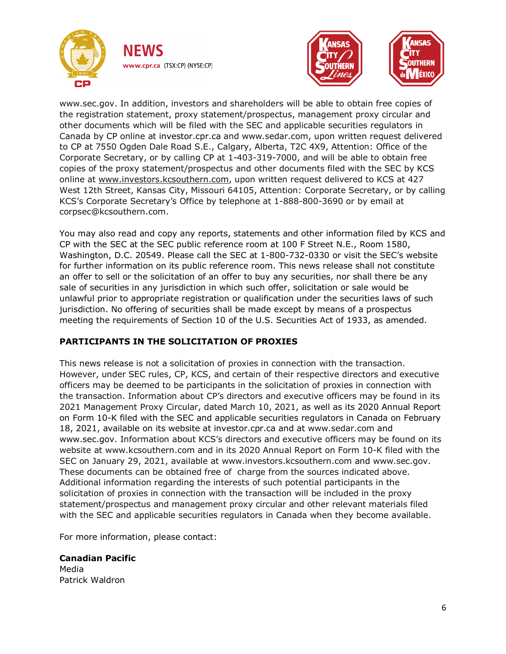





www.sec.gov. In addition, investors and shareholders will be able to obtain free copies of the registration statement, proxy statement/prospectus, management proxy circular and other documents which will be filed with the SEC and applicable securities regulators in Canada by CP online at investor.cpr.ca and www.sedar.com, upon written request delivered to CP at 7550 Ogden Dale Road S.E., Calgary, Alberta, T2C 4X9, Attention: Office of the Corporate Secretary, or by calling CP at 1-403-319-7000, and will be able to obtain free copies of the proxy statement/prospectus and other documents filed with the SEC by KCS online at www.investors.kcsouthern.com, upon written request delivered to KCS at 427 West 12th Street, Kansas City, Missouri 64105, Attention: Corporate Secretary, or by calling KCS's Corporate Secretary's Office by telephone at 1-888-800-3690 or by email at corpsec@kcsouthern.com.

You may also read and copy any reports, statements and other information filed by KCS and CP with the SEC at the SEC public reference room at 100 F Street N.E., Room 1580, Washington, D.C. 20549. Please call the SEC at 1-800-732-0330 or visit the SEC's website for further information on its public reference room. This news release shall not constitute an offer to sell or the solicitation of an offer to buy any securities, nor shall there be any sale of securities in any jurisdiction in which such offer, solicitation or sale would be unlawful prior to appropriate registration or qualification under the securities laws of such jurisdiction. No offering of securities shall be made except by means of a prospectus meeting the requirements of Section 10 of the U.S. Securities Act of 1933, as amended.

### **PARTICIPANTS IN THE SOLICITATION OF PROXIES**

This news release is not a solicitation of proxies in connection with the transaction. However, under SEC rules, CP, KCS, and certain of their respective directors and executive officers may be deemed to be participants in the solicitation of proxies in connection with the transaction. Information about CP's directors and executive officers may be found in its 2021 Management Proxy Circular, dated March 10, 2021, as well as its 2020 Annual Report on Form 10-K filed with the SEC and applicable securities regulators in Canada on February 18, 2021, available on its website at investor.cpr.ca and at www.sedar.com and www.sec.gov. Information about KCS's directors and executive officers may be found on its website at www.kcsouthern.com and in its 2020 Annual Report on Form 10-K filed with the SEC on January 29, 2021, available at www.investors.kcsouthern.com and www.sec.gov. These documents can be obtained free of charge from the sources indicated above. Additional information regarding the interests of such potential participants in the solicitation of proxies in connection with the transaction will be included in the proxy statement/prospectus and management proxy circular and other relevant materials filed with the SEC and applicable securities regulators in Canada when they become available.

For more information, please contact:

**Canadian Pacific** Media Patrick Waldron